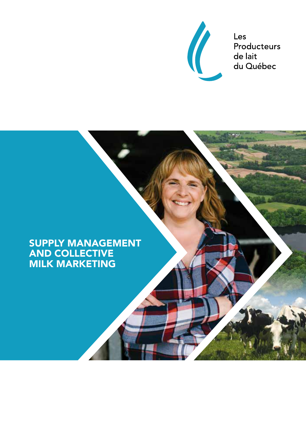

Les Producteurs de lait du Québec

## SUPPLY MANAGEMENT AND COLLECTIVE MILK MARKETING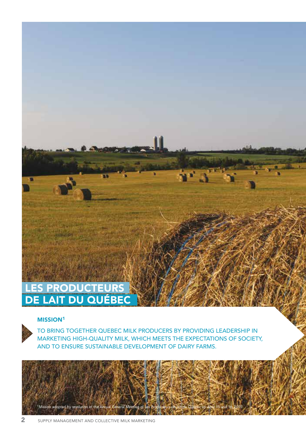# LES PRODUCTEURS DE LAIT DU QUÉBEC

#### MISSION<sup>1</sup>

TO BRING TOGETHER QUEBEC MILK PRODUCERS BY PROVIDING LEADERSHIP IN MARKETING HIGH-QUALITY MILK, WHICH MEETS THE EXPECTATIONS OF SOCIETY, AND TO ENSURE SUSTAINABLE DEVELOPMENT OF DAIRY FARMS.

1Mission adopted by resolution of the Annual General Meeting of Les Producteurs de lait du Québec on April 15 and 16, 2015.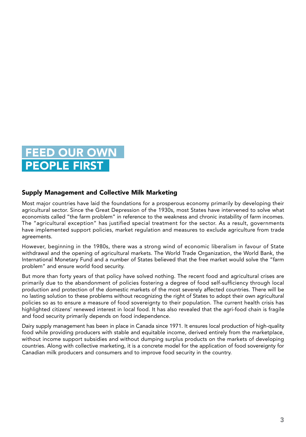# D OUR O **PEOPLE FIRS**

#### Supply Management and Collective Milk Marketing

Most major countries have laid the foundations for a prosperous economy primarily by developing their agricultural sector. Since the Great Depression of the 1930s, most States have intervened to solve what economists called "the farm problem" in reference to the weakness and chronic instability of farm incomes. The "agricultural exception" has justified special treatment for the sector. As a result, governments have implemented support policies, market regulation and measures to exclude agriculture from trade agreements.

However, beginning in the 1980s, there was a strong wind of economic liberalism in favour of State withdrawal and the opening of agricultural markets. The World Trade Organization, the World Bank, the International Monetary Fund and a number of States believed that the free market would solve the "farm problem" and ensure world food security.

But more than forty years of that policy have solved nothing. The recent food and agricultural crises are primarily due to the abandonment of policies fostering a degree of food self-sufficiency through local production and protection of the domestic markets of the most severely affected countries. There will be no lasting solution to these problems without recognizing the right of States to adopt their own agricultural policies so as to ensure a measure of food sovereignty to their population. The current health crisis has highlighted citizens' renewed interest in local food. It has also revealed that the agri-food chain is fragile and food security primarily depends on food independence.

Dairy supply management has been in place in Canada since 1971. It ensures local production of high-quality food while providing producers with stable and equitable income, derived entirely from the marketplace, without income support subsidies and without dumping surplus products on the markets of developing countries. Along with collective marketing, it is a concrete model for the application of food sovereignty for Canadian milk producers and consumers and to improve food security in the country.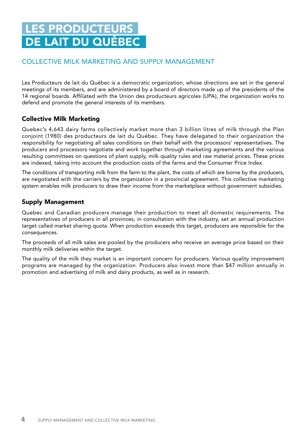# LES PRODUCTEURS DE LAIT DU QUÉBEC

### COLLECTIVE MILK MARKETING AND SUPPLY MANAGEMENT

Les Producteurs de lait du Québec is a democratic organization, whose directions are set in the general meetings of its members, and are administered by a board of directors made up of the presidents of the 14 regional boards. Affiliated with the Union des producteurs agricoles (UPA), the organization works to defend and promote the general interests of its members.

### Collective Milk Marketing

Quebec's 4,643 dairy farms collectively market more than 3 billion litres of milk through the Plan conjoint (1980) des producteurs de lait du Québec. They have delegated to their organization the responsibility for negotiating all sales conditions on their behalf with the processors' representatives. The producers and processors negotiate and work together through marketing agreements and the various resulting committees on questions of plant supply, milk quality rules and raw material prices. These prices are indexed, taking into account the production costs of the farms and the Consumer Price Index.

The conditions of transporting milk from the farm to the plant, the costs of which are borne by the producers, are negotiated with the carriers by the organization in a provincial agreement. This collective marketing system enables milk producers to draw their income from the marketplace without government subsidies.

### Supply Management

Quebec and Canadian producers manage their production to meet all domestic requirements. The representatives of producers in all provinces, in consultation with the industry, set an annual production target called market sharing quota. When production exceeds this target, producers are reponsible for the consequences.

The proceeds of all milk sales are pooled by the producers who receive an average price based on their monthly milk deliveries within the target.

The quality of the milk they market is an important concern for producers. Various quality improvement programs are managed by the organization. Producers also invest more than \$47 million annually in promotion and advertising of milk and dairy products, as well as in research.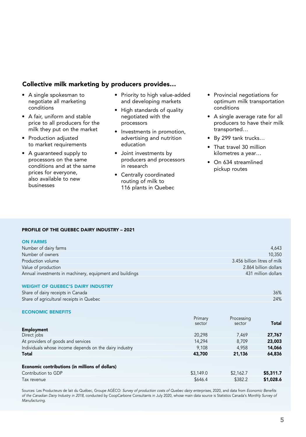#### Collective milk marketing by producers provides…

- A single spokesman to negotiate all marketing conditions
- A fair, uniform and stable price to all producers for the milk they put on the market
- Production adjusted to market requirements
- A guaranteed supply to processors on the same conditions and at the same prices for everyone, also available to new businesses
- Priority to high value-added and developing markets
- High standards of quality negotiated with the processors
- Investments in promotion, advertising and nutrition education
- Joint investments by producers and processors in research
- Centrally coordinated routing of milk to 116 plants in Quebec
- Provincial negotiations for optimum milk transportation conditions
- A single average rate for all producers to have their milk transported…
- By 299 tank trucks…
- That travel 30 million kilometres a year…
- On 634 streamlined pickup routes

#### PROFILE OF THE QUEBEC DAIRY INDUSTRY – 2021

#### ON FARMS

| Number of dairy farms                                    | 4.643                        |
|----------------------------------------------------------|------------------------------|
| Number of owners                                         | 10.350                       |
| Production volume                                        | 3.456 billion litres of milk |
| Value of production                                      | 2.864 billion dollars        |
| Annual investments in machinery, equipment and buildings | 431 million dollars          |
|                                                          |                              |

#### WEIGHT OF QUEBEC'S DAIRY INDUSTRY

| Share of dairy receipts in Canada        | 36% |
|------------------------------------------|-----|
| Share of agricultural receipts in Quebec | 24% |
|                                          |     |

#### ECONOMIC BENEFITS

|                                                        | Primary<br>sector | Processing<br>sector | <b>Total</b> |
|--------------------------------------------------------|-------------------|----------------------|--------------|
| Employment                                             |                   |                      |              |
| Direct jobs                                            | 20,298            | 7,469                | 27,767       |
| At providers of goods and services                     | 14.294            | 8.709                | 23,003       |
| Individuals whose income depends on the dairy industry | 9.108             | 4.958                | 14,066       |
| <b>Total</b>                                           | 43,700            | 21,136               | 64,836       |
|                                                        |                   |                      |              |
| Economic contributions (in millions of dollars)        |                   |                      |              |
| Contribution to GDP                                    | \$3,149.0         | \$2,162.7            | \$5,311.7    |
| Tax revenue                                            | \$646.4           | \$382.2              | \$1,028.6    |

Sources: Les Producteurs de lait du Québec, Groupe AGÉCO: Survey of production costs of Quebec dairy enterprises, 2020, and data from Economic Benefits of the Canadian Dairy Industry in 2018, conducted by CoopCarbone Consultants in July 2020, whose main data source is Statistics Canada's Monthly Survey of Manufacturing.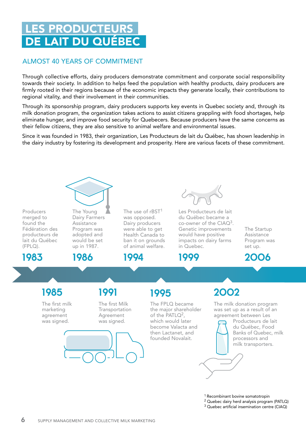# **LES PRODUCTEUR** DE LAIT DU QUÉBEC

### ALMOST 40 YEARS OF COMMITMENT

Through collective efforts, dairy producers demonstrate commitment and corporate social responsibility towards their society. In addition to helps feed the population with healthy products, dairy producers are firmly rooted in their regions because of the economic impacts they generate locally, their contributions to regional vitality, and their involvement in their communities.

Through its sponsorship program, dairy producers supports key events in Quebec society and, through its milk donation program, the organization takes actions to assist citizens grappling with food shortages, help eliminate hunger, and improve food security for Quebecers. Because producers have the same concerns as their fellow citizens, they are also sensitive to animal welfare and environmental issues.

Since it was founded in 1983, their organization, Les Producteurs de lait du Québec, has shown leadership in the dairy industry by fostering its development and prosperity. Here are various facets of these commitment.

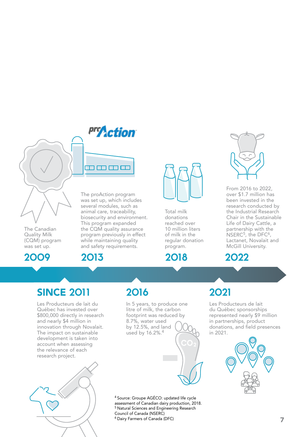pro**Action** 

ımmm



The Canadian Quality Milk (CQM) program was set up.

### 2009

The proAction program was set up, which includes several modules, such as animal care, traceability, biosecurity and environment. This program expanded the CQM quality assurance program previously in effect while maintaining quality and safety requirements.





Total milk donations reached over 10 million liters of milk in the regular donation program.

2018



From 2016 to 2022, over \$1.7 million has been invested in the research conducted by the Industrial Research Chair in the Sustainable Life of Dairy Cattle, a partnership with the NSERC<sup>5</sup>, the DFC<sup>6</sup>, Lactanet, Novalait and McGill University.



# **SINCE 2011**

Les Producteurs de lait du Québec has invested over \$800,000 directly in research and nearly \$4 million in innovation through Novalait. The impact on sustainable development is taken into account when assessing the relevance of each research project.



# 2016 2021

In 5 years, to produce one litre of milk, the carbon footprint was reduced by 8.7%, water used by 12.5%, and land used by 16.2%.4

Les Producteurs de lait du Québec sponsorships represented nearly \$9 million in partnerships, product donations, and field presences in 2021.



4 Source: Groupe AGÉCO: updated life cycle assessment of Canadian dairy production, 2018. 5 Natural Sciences and Engineering Research Council of Canada (NSERC) 6 Dairy Farmers of Canada (DFC)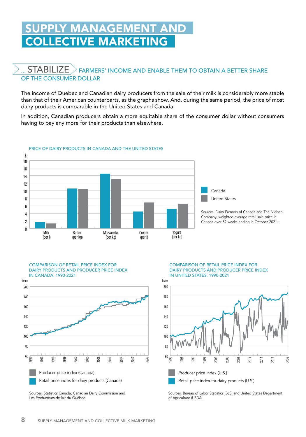# PPLY MANAGEMENT AND COLLECTIVE MARKETING

### $\mathsf{STA}\mathsf{B}\mathsf{IL}$   $\mathsf{Z}\mathsf{E}\geqslant\mathsf{F}$ ARMERS' INCOME AND ENABLE THEM TO OBTAIN A BETTER SHARE OF THE CONSUMER DOLLAR

The income of Quebec and Canadian dairy producers from the sale of their milk is considerably more stable than that of their American counterparts, as the graphs show. And, during the same period, the price of most dairy products is comparable in the United States and Canada.

In addition, Canadian producers obtain a more equitable share of the consumer dollar without consumers having to pay any more for their products than elsewhere.



#### PRICE OF DAIRY PRODUCTS IN CANADA AND THE UNITED STATES





Sources: Statistics Canada, Canadian Dairy Commission and Les Producteurs de lait du Québec.

COMPARISON OF RETAIL PRICE INDEX FOR DAIRY PRODUCTS AND PRODUCER PRICE INDEX IN UNITED STATES, 1990-2021



Sources: Bureau of Labor Statistics (BLS) and United States Department of Agriculture (USDA).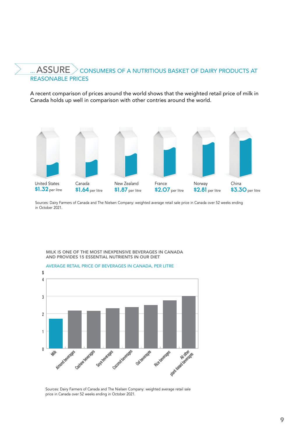### ...  $\overline{ASSURE}$   $>$  consumers of a nutritious basket of dairy products at REASONABLE PRICES

A recent comparison of prices around the world shows that the weighted retail price of milk in Canada holds up well in comparison with other contries around the world.



Sources: Dairy Farmers of Canada and The Nielsen Company: weighted average retail sale price in Canada over 52 weeks ending in October 2021.



#### MILK IS ONE OF THE MOST INEXPENSIVE BEVERAGES IN CANADA AND PROVIDES 15 ESSENTIAL NUTRIENTS IN OUR DIET

Sources: Dairy Farmers of Canada and The Nielsen Company: weighted average retail sale price in Canada over 52 weeks ending in October 2021.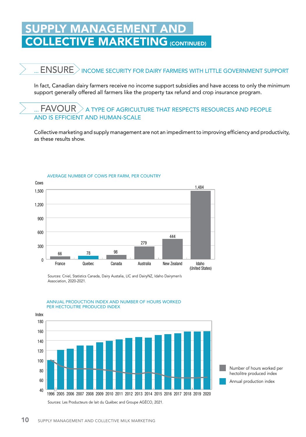# <u>LY MANAGEMENT AND</u> **ECTIVE MARKETING (CONTINUED)**

# ...  $\mathsf{ENSURE}\!\!>\!\!$  income security for dairy farmers with little government support

In fact, Canadian dairy farmers receive no income support subsidies and have access to only the minimum support generally offered all farmers like the property tax refund and crop insurance program.

### $\mathsf{FAVOUR}\geq$  a type of agriculture that respects resources and people AND IS EFFICIENT AND HUMAN-SCALE

Collective marketing and supply management are not an impediment to improving efficiency and productivity, as these results show.



AVERAGE NUMBER OF COWS PER FARM, PER COUNTRY

Sources: Cniel, Statistics Canada, Dairy Austalia, LIC and DairyNZ, Idaho Dairymen's Association, 2020-2021.



ANNUAL PRODUCTION INDEX AND NUMBER OF HOURS WORKED PER HECTOLITRE PRODUCED INDEX

> Number of hours worked per hectolitre produced index

Annual production index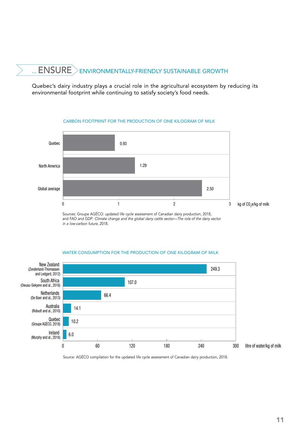# ...  $\mathsf{ENSURE}\geqslant$ environmentally-friendly sustainable growth

Quebec's dairy industry plays a crucial role in the agricultural ecosystem by reducing its environmental footprint while continuing to satisfy society's food needs.



#### CARBON FOOTPRINT FOR THE PRODUCTION OF ONE KILOGRAM OF MILK

Sources: Groupe AGÉCO: updated life cycle assessment of Canadian dairy production, 2018, and FAO and GDP: Climate change and the global dairy cattle sector—The role of the dairy sector in a low-carbon future, 2018.

#### WATER CONSUMPTION FOR THE PRODUCTION OF ONE KILOGRAM OF MILK



Source: AGÉCO compilation for the updated life cycle assessment of Canadian dairy production, 2018.